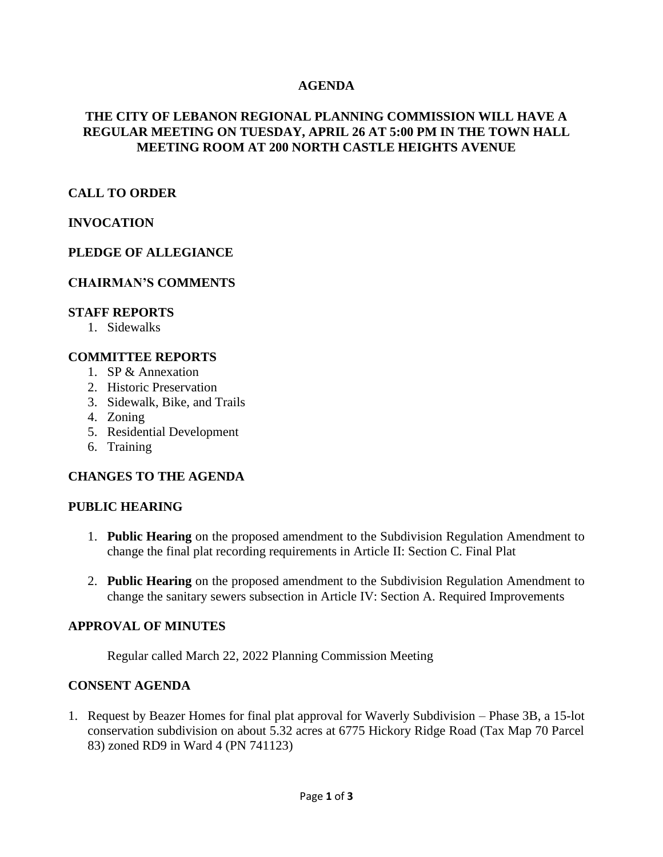## **AGENDA**

## **THE CITY OF LEBANON REGIONAL PLANNING COMMISSION WILL HAVE A REGULAR MEETING ON TUESDAY, APRIL 26 AT 5:00 PM IN THE TOWN HALL MEETING ROOM AT 200 NORTH CASTLE HEIGHTS AVENUE**

## **CALL TO ORDER**

## **INVOCATION**

### **PLEDGE OF ALLEGIANCE**

### **CHAIRMAN'S COMMENTS**

#### **STAFF REPORTS**

1. Sidewalks

#### **COMMITTEE REPORTS**

- 1. SP & Annexation
- 2. Historic Preservation
- 3. Sidewalk, Bike, and Trails
- 4. Zoning
- 5. Residential Development
- 6. Training

### **CHANGES TO THE AGENDA**

#### **PUBLIC HEARING**

- 1. **Public Hearing** on the proposed amendment to the Subdivision Regulation Amendment to change the final plat recording requirements in Article II: Section C. Final Plat
- 2. **Public Hearing** on the proposed amendment to the Subdivision Regulation Amendment to change the sanitary sewers subsection in Article IV: Section A. Required Improvements

#### **APPROVAL OF MINUTES**

Regular called March 22, 2022 Planning Commission Meeting

## **CONSENT AGENDA**

1. Request by Beazer Homes for final plat approval for Waverly Subdivision – Phase 3B, a 15-lot conservation subdivision on about 5.32 acres at 6775 Hickory Ridge Road (Tax Map 70 Parcel 83) zoned RD9 in Ward 4 (PN 741123)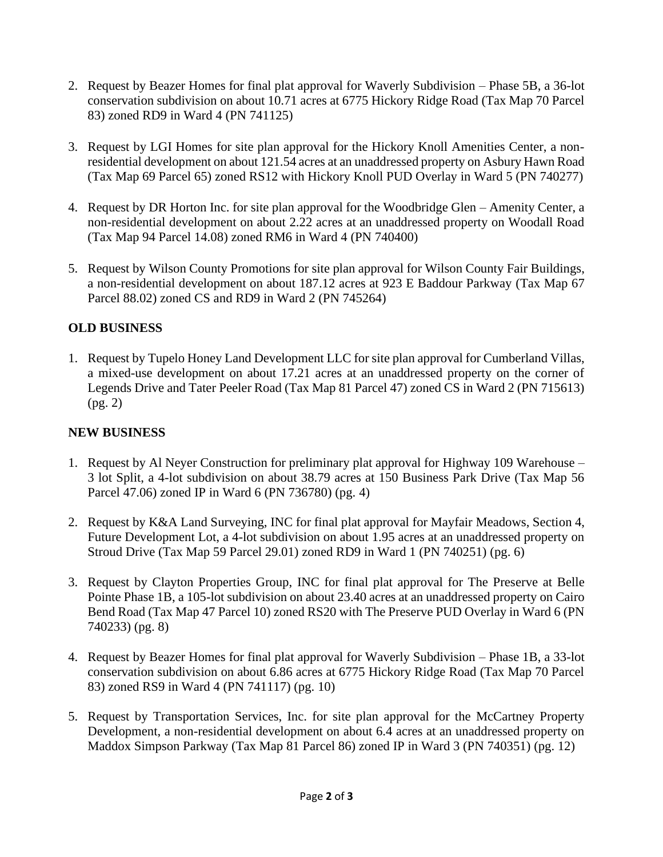- 2. Request by Beazer Homes for final plat approval for Waverly Subdivision Phase 5B, a 36-lot conservation subdivision on about 10.71 acres at 6775 Hickory Ridge Road (Tax Map 70 Parcel 83) zoned RD9 in Ward 4 (PN 741125)
- 3. Request by LGI Homes for site plan approval for the Hickory Knoll Amenities Center, a nonresidential development on about 121.54 acres at an unaddressed property on Asbury Hawn Road (Tax Map 69 Parcel 65) zoned RS12 with Hickory Knoll PUD Overlay in Ward 5 (PN 740277)
- 4. Request by DR Horton Inc. for site plan approval for the Woodbridge Glen Amenity Center, a non-residential development on about 2.22 acres at an unaddressed property on Woodall Road (Tax Map 94 Parcel 14.08) zoned RM6 in Ward 4 (PN 740400)
- 5. Request by Wilson County Promotions for site plan approval for Wilson County Fair Buildings, a non-residential development on about 187.12 acres at 923 E Baddour Parkway (Tax Map 67 Parcel 88.02) zoned CS and RD9 in Ward 2 (PN 745264)

# **OLD BUSINESS**

1. Request by Tupelo Honey Land Development LLC for site plan approval for Cumberland Villas, a mixed-use development on about 17.21 acres at an unaddressed property on the corner of Legends Drive and Tater Peeler Road (Tax Map 81 Parcel 47) zoned CS in Ward 2 (PN 715613) (pg. 2)

# **NEW BUSINESS**

- 1. Request by Al Neyer Construction for preliminary plat approval for Highway 109 Warehouse 3 lot Split, a 4-lot subdivision on about 38.79 acres at 150 Business Park Drive (Tax Map 56 Parcel 47.06) zoned IP in Ward 6 (PN 736780) (pg. 4)
- 2. Request by K&A Land Surveying, INC for final plat approval for Mayfair Meadows, Section 4, Future Development Lot, a 4-lot subdivision on about 1.95 acres at an unaddressed property on Stroud Drive (Tax Map 59 Parcel 29.01) zoned RD9 in Ward 1 (PN 740251) (pg. 6)
- 3. Request by Clayton Properties Group, INC for final plat approval for The Preserve at Belle Pointe Phase 1B, a 105-lot subdivision on about 23.40 acres at an unaddressed property on Cairo Bend Road (Tax Map 47 Parcel 10) zoned RS20 with The Preserve PUD Overlay in Ward 6 (PN 740233) (pg. 8)
- 4. Request by Beazer Homes for final plat approval for Waverly Subdivision Phase 1B, a 33-lot conservation subdivision on about 6.86 acres at 6775 Hickory Ridge Road (Tax Map 70 Parcel 83) zoned RS9 in Ward 4 (PN 741117) (pg. 10)
- 5. Request by Transportation Services, Inc. for site plan approval for the McCartney Property Development, a non-residential development on about 6.4 acres at an unaddressed property on Maddox Simpson Parkway (Tax Map 81 Parcel 86) zoned IP in Ward 3 (PN 740351) (pg. 12)